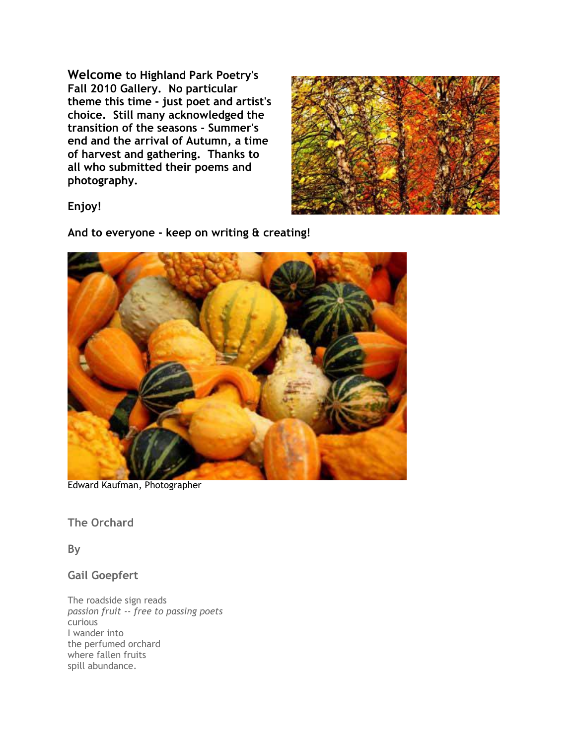**Welcome to Highland Park Poetry's Fall 2010 Gallery. No particular theme this time - just poet and artist's choice. Still many acknowledged the transition of the seasons - Summer's end and the arrival of Autumn, a time of harvest and gathering. Thanks to all who submitted their poems and photography.** 



**Enjoy!**

**And to everyone - keep on writing & creating!**



Edward Kaufman, Photographer

**The Orchard** 

**By** 

**Gail Goepfert**

The roadside sign reads *passion fruit -- free to passing poets*  curious I wander into the perfumed orchard where fallen fruits spill abundance.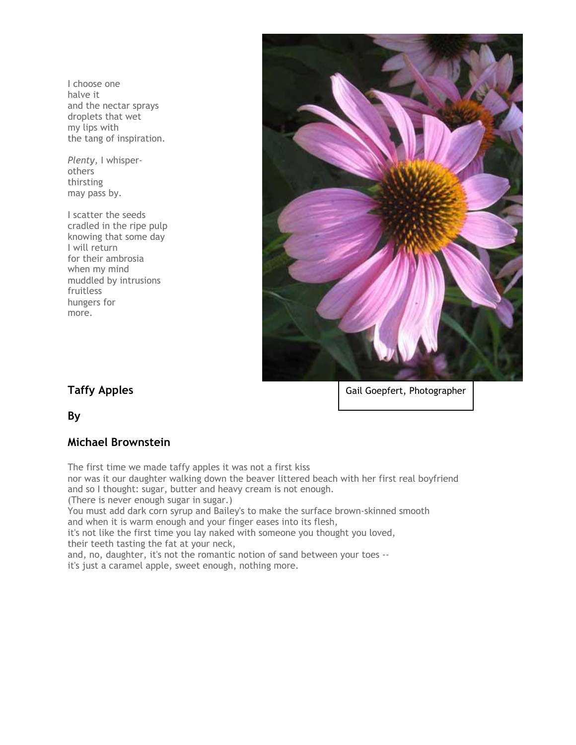I choose one halve it and the nectar sprays droplets that wet my lips with the tang of inspiration.

*Plenty,* I whisperothers thirsting may pass by.

I scatter the seeds cradled in the ripe pulp knowing that some day I will return for their ambrosia when my mind muddled by intrusions fruitless hungers for more.



## **Taffy Apples**

Gail Goepfert, Photographer

**By** 

#### **Michael Brownstein**

The first time we made taffy apples it was not a first kiss

nor was it our daughter walking down the beaver littered beach with her first real boyfriend and so I thought: sugar, butter and heavy cream is not enough.

(There is never enough sugar in sugar.)

You must add dark corn syrup and Bailey's to make the surface brown-skinned smooth and when it is warm enough and your finger eases into its flesh,

it's not like the first time you lay naked with someone you thought you loved, their teeth tasting the fat at your neck,

and, no, daughter, it's not the romantic notion of sand between your toes --

it's just a caramel apple, sweet enough, nothing more.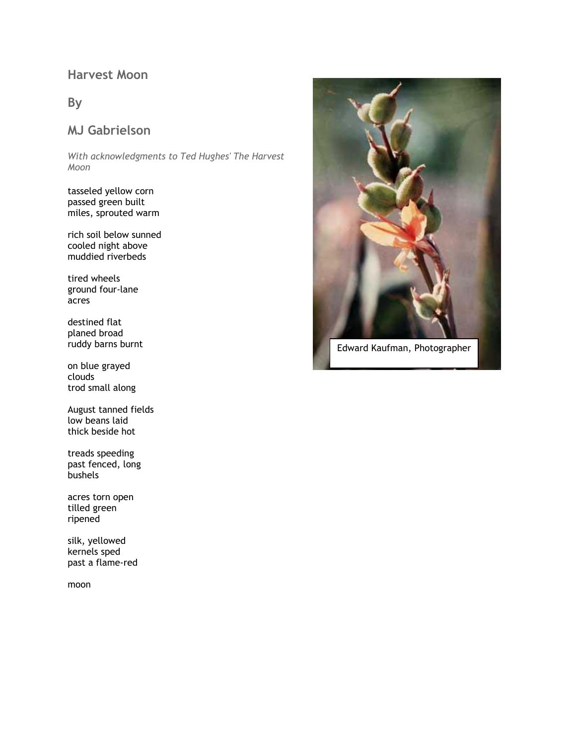# **Harvest Moon**

#### **By**

## **MJ Gabrielson**

*With acknowledgments to Ted Hughes' The Harvest Moon*

tasseled yellow corn passed green built miles, sprouted warm

rich soil below sunned cooled night above muddied riverbeds

tired wheels ground four-lane acres

destined flat planed broad ruddy barns burnt

on blue grayed clouds trod small along

August tanned fields low beans laid thick beside hot

treads speeding past fenced, long bushels

acres torn open tilled green ripened

silk, yellowed kernels sped past a flame-red

moon



Edward Kaufman, Photographer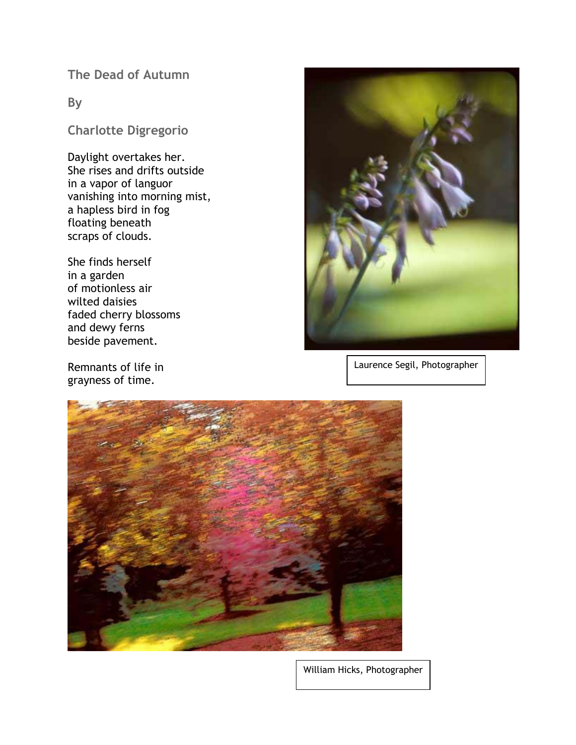**The Dead of Autumn**

#### **By**

**Charlotte Digregorio**

Daylight overtakes her. She rises and drifts outside in a vapor of languor vanishing into morning mist, a hapless bird in fog floating beneath scraps of clouds.

She finds herself in a garden of motionless air wilted daisies faded cherry blossoms and dewy ferns beside pavement.

Remnants of life in grayness of time.



Laurence Segil, Photographer



William Hicks, Photographer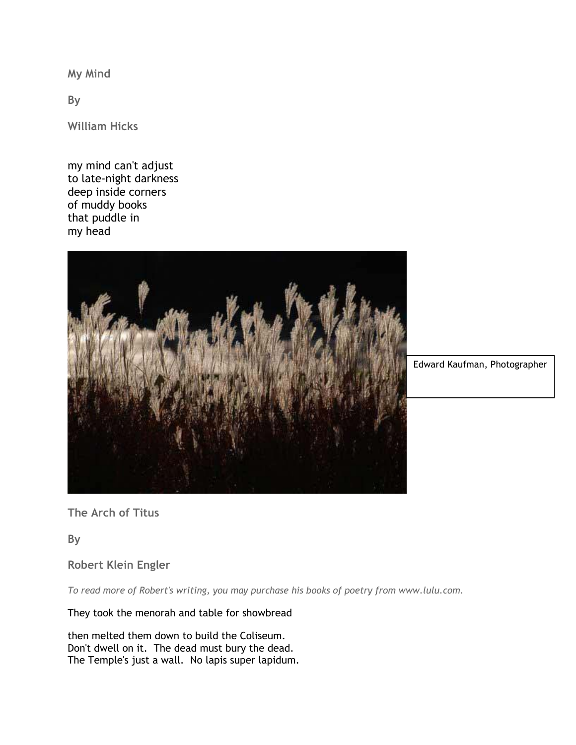**My Mind** 

**By** 

**William Hicks**

my mind can't adjust to late-night darkness deep inside corners of muddy books that puddle in my head



Edward Kaufman, Photographer

**The Arch of Titus** 

**By** 

**Robert Klein Engler**

*To read more of Robert's writing, you may purchase his books of poetry from www.lulu.com.* 

They took the menorah and table for showbread

then melted them down to build the Coliseum. Don't dwell on it. The dead must bury the dead. The Temple's just a wall. No lapis super lapidum.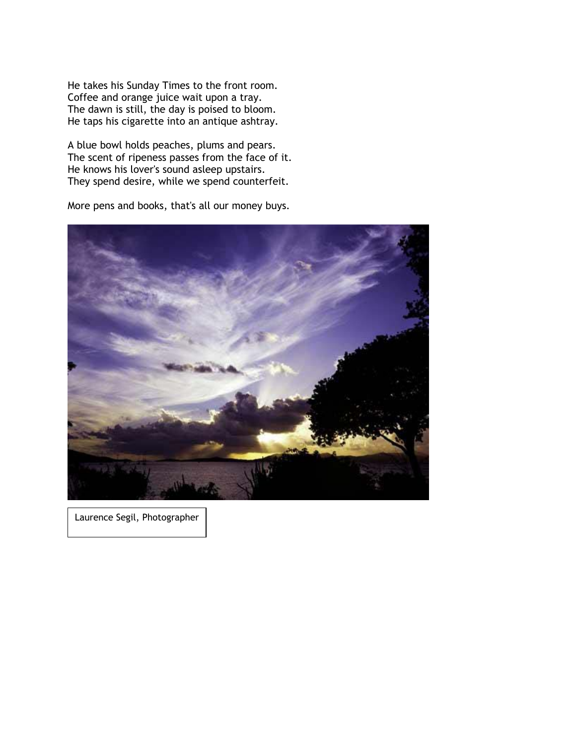He takes his Sunday Times to the front room. Coffee and orange juice wait upon a tray. The dawn is still, the day is poised to bloom. He taps his cigarette into an antique ashtray.

A blue bowl holds peaches, plums and pears. The scent of ripeness passes from the face of it. He knows his lover's sound asleep upstairs. They spend desire, while we spend counterfeit.

More pens and books, that's all our money buys.



Laurence Segil, Photographer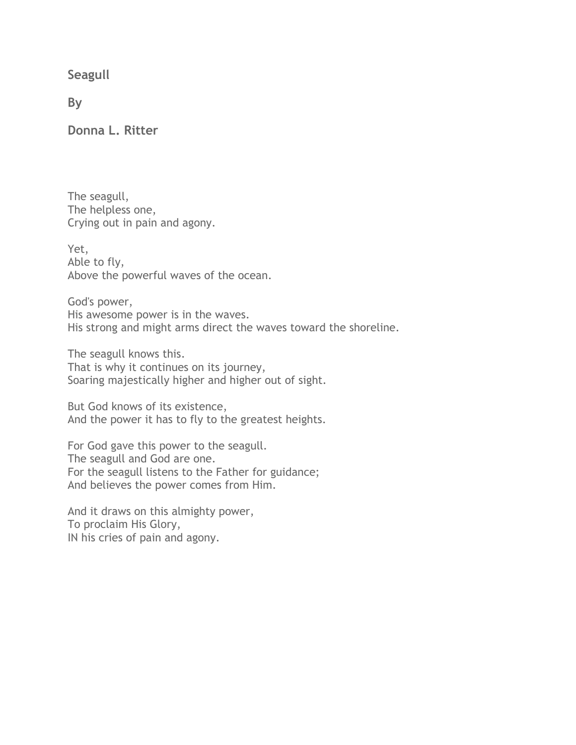**Seagull**

**By**

**Donna L. Ritter**

The seagull, The helpless one, Crying out in pain and agony.

Yet, Able to fly, Above the powerful waves of the ocean.

God's power, His awesome power is in the waves. His strong and might arms direct the waves toward the shoreline.

The seagull knows this. That is why it continues on its journey, Soaring majestically higher and higher out of sight.

But God knows of its existence, And the power it has to fly to the greatest heights.

For God gave this power to the seagull. The seagull and God are one. For the seagull listens to the Father for guidance; And believes the power comes from Him.

And it draws on this almighty power, To proclaim His Glory, IN his cries of pain and agony.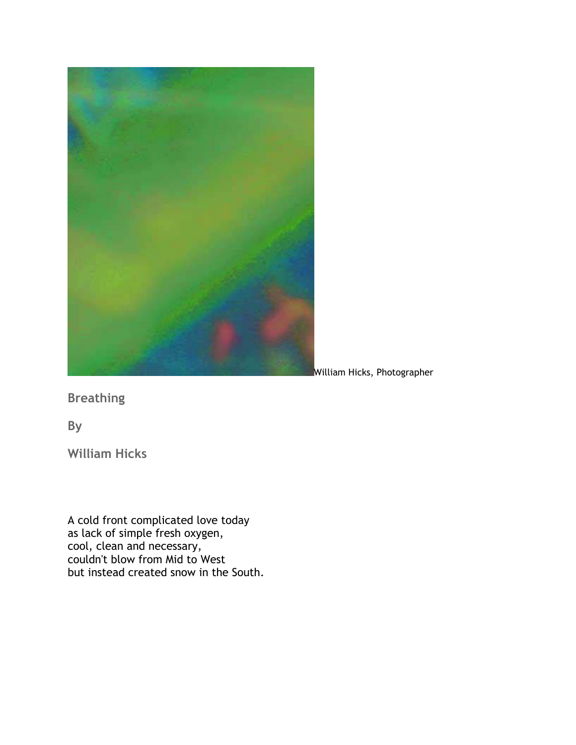

William Hicks, Photographer

**Breathing**

**By**

**William Hicks**

A cold front complicated love today as lack of simple fresh oxygen, cool, clean and necessary, couldn't blow from Mid to West but instead created snow in the South.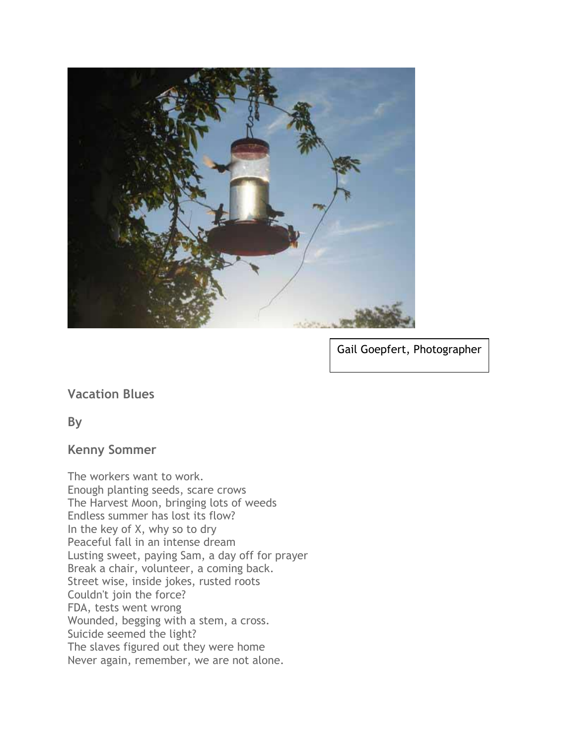

Gail Goepfert, Photographer

**Vacation Blues**

**By**

### **Kenny Sommer**

The workers want to work. Enough planting seeds, scare crows The Harvest Moon, bringing lots of weeds Endless summer has lost its flow? In the key of X, why so to dry Peaceful fall in an intense dream Lusting sweet, paying Sam, a day off for prayer Break a chair, volunteer, a coming back. Street wise, inside jokes, rusted roots Couldn't join the force? FDA, tests went wrong Wounded, begging with a stem, a cross. Suicide seemed the light? The slaves figured out they were home Never again, remember, we are not alone.